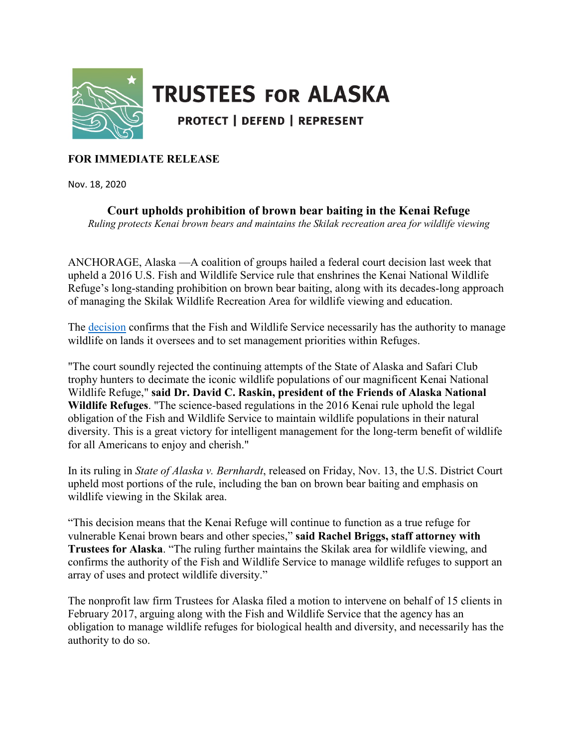

## **TRUSTEES FOR ALASKA**

**PROTECT | DEFEND | REPRESENT** 

## **FOR IMMEDIATE RELEASE**

Nov. 18, 2020

**Court upholds prohibition of brown bear baiting in the Kenai Refuge** *Ruling protects Kenai brown bears and maintains the Skilak recreation area for wildlife viewing*

ANCHORAGE, Alaska —A coalition of groups hailed a federal court decision last week that upheld a 2016 U.S. Fish and Wildlife Service rule that enshrines the Kenai National Wildlife Refuge's long-standing prohibition on brown bear baiting, along with its decades-long approach of managing the Skilak Wildlife Recreation Area for wildlife viewing and education.

The [decision](https://www.trustees.org/wp-content/uploads/2020/11/2020-11-2016-Kenai-rule-court-win-decision.pdf) confirms that the Fish and Wildlife Service necessarily has the authority to manage wildlife on lands it oversees and to set management priorities within Refuges.

"The court soundly rejected the continuing attempts of the State of Alaska and Safari Club trophy hunters to decimate the iconic wildlife populations of our magnificent Kenai National Wildlife Refuge," **said Dr. David C. Raskin, president of the Friends of Alaska National Wildlife Refuges**. "The science-based regulations in the 2016 Kenai rule uphold the legal obligation of the Fish and Wildlife Service to maintain wildlife populations in their natural diversity. This is a great victory for intelligent management for the long-term benefit of wildlife for all Americans to enjoy and cherish."

In its ruling in *State of Alaska v. Bernhardt*, released on Friday, Nov. 13, the U.S. District Court upheld most portions of the rule, including the ban on brown bear baiting and emphasis on wildlife viewing in the Skilak area.

"This decision means that the Kenai Refuge will continue to function as a true refuge for vulnerable Kenai brown bears and other species," **said Rachel Briggs, staff attorney with Trustees for Alaska**. "The ruling further maintains the Skilak area for wildlife viewing, and confirms the authority of the Fish and Wildlife Service to manage wildlife refuges to support an array of uses and protect wildlife diversity."

The nonprofit law firm Trustees for Alaska filed a motion to intervene on behalf of 15 clients in February 2017, arguing along with the Fish and Wildlife Service that the agency has an obligation to manage wildlife refuges for biological health and diversity, and necessarily has the authority to do so.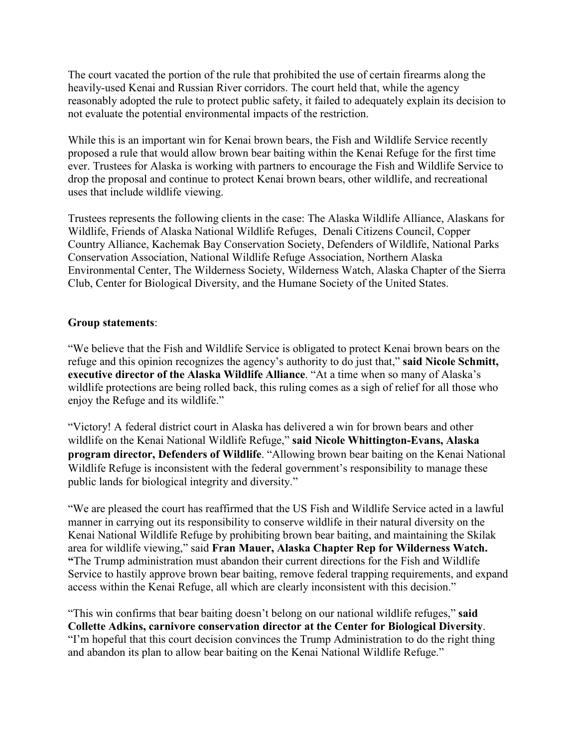The court vacated the portion of the rule that prohibited the use of certain firearms along the heavily-used Kenai and Russian River corridors. The court held that, while the agency reasonably adopted the rule to protect public safety, it failed to adequately explain its decision to not evaluate the potential environmental impacts of the restriction.

While this is an important win for Kenai brown bears, the Fish and Wildlife Service recently proposed a rule that would allow brown bear baiting within the Kenai Refuge for the first time ever. Trustees for Alaska is working with partners to encourage the Fish and Wildlife Service to drop the proposal and continue to protect Kenai brown bears, other wildlife, and recreational uses that include wildlife viewing.

Trustees represents the following clients in the case: The Alaska Wildlife Alliance, Alaskans for Wildlife, Friends of Alaska National Wildlife Refuges, Denali Citizens Council, Copper Country Alliance, Kachemak Bay Conservation Society, Defenders of Wildlife, National Parks Conservation Association, National Wildlife Refuge Association, Northern Alaska Environmental Center, The Wilderness Society, Wilderness Watch, Alaska Chapter of the Sierra Club, Center for Biological Diversity, and the Humane Society of the United States.

## **Group statements**:

"We believe that the Fish and Wildlife Service is obligated to protect Kenai brown bears on the refuge and this opinion recognizes the agency's authority to do just that," **said Nicole Schmitt, executive director of the Alaska Wildlife Alliance**. "At a time when so many of Alaska's wildlife protections are being rolled back, this ruling comes as a sigh of relief for all those who enjoy the Refuge and its wildlife."

"Victory! A federal district court in Alaska has delivered a win for brown bears and other wildlife on the Kenai National Wildlife Refuge," **said Nicole Whittington-Evans, Alaska program director, Defenders of Wildlife**. "Allowing brown bear baiting on the Kenai National Wildlife Refuge is inconsistent with the federal government's responsibility to manage these public lands for biological integrity and diversity."

"We are pleased the court has reaffirmed that the US Fish and Wildlife Service acted in a lawful manner in carrying out its responsibility to conserve wildlife in their natural diversity on the Kenai National Wildlife Refuge by prohibiting brown bear baiting, and maintaining the Skilak area for wildlife viewing," said **Fran Mauer, Alaska Chapter Rep for Wilderness Watch. "**The Trump administration must abandon their current directions for the Fish and Wildlife Service to hastily approve brown bear baiting, remove federal trapping requirements, and expand access within the Kenai Refuge, all which are clearly inconsistent with this decision."

"This win confirms that bear baiting doesn't belong on our national wildlife refuges," **said Collette Adkins, carnivore conservation director at the Center for Biological Diversity**. "I'm hopeful that this court decision convinces the Trump Administration to do the right thing and abandon its plan to allow bear baiting on the Kenai National Wildlife Refuge."